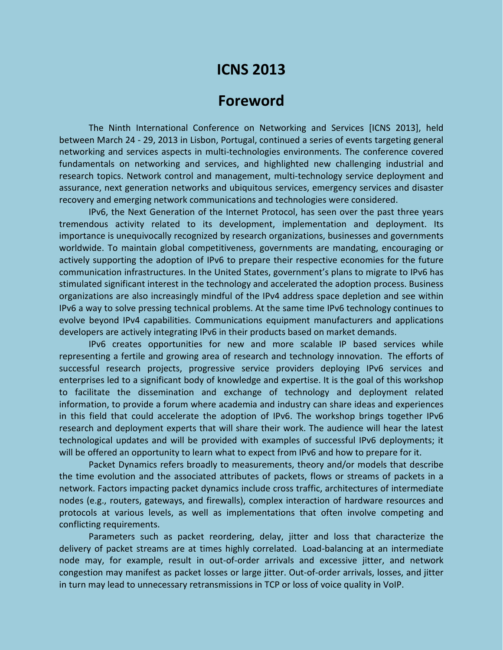## **ICNS 2013**

## **Foreword**

The Ninth International Conference on Networking and Services [ICNS 2013], held between March 24 - 29, 2013 in Lisbon, Portugal, continued a series of events targeting general networking and services aspects in multi-technologies environments. The conference covered fundamentals on networking and services, and highlighted new challenging industrial and research topics. Network control and management, multi-technology service deployment and assurance, next generation networks and ubiquitous services, emergency services and disaster recovery and emerging network communications and technologies were considered.

IPv6, the Next Generation of the Internet Protocol, has seen over the past three years tremendous activity related to its development, implementation and deployment. Its importance is unequivocally recognized by research organizations, businesses and governments worldwide. To maintain global competitiveness, governments are mandating, encouraging or actively supporting the adoption of IPv6 to prepare their respective economies for the future communication infrastructures. In the United States, government's plans to migrate to IPv6 has stimulated significant interest in the technology and accelerated the adoption process. Business organizations are also increasingly mindful of the IPv4 address space depletion and see within IPv6 a way to solve pressing technical problems. At the same time IPv6 technology continues to evolve beyond IPv4 capabilities. Communications equipment manufacturers and applications developers are actively integrating IPv6 in their products based on market demands.

IPv6 creates opportunities for new and more scalable IP based services while representing a fertile and growing area of research and technology innovation. The efforts of successful research projects, progressive service providers deploying IPv6 services and enterprises led to a significant body of knowledge and expertise. It is the goal of this workshop to facilitate the dissemination and exchange of technology and deployment related information, to provide a forum where academia and industry can share ideas and experiences in this field that could accelerate the adoption of IPv6. The workshop brings together IPv6 research and deployment experts that will share their work. The audience will hear the latest technological updates and will be provided with examples of successful IPv6 deployments; it will be offered an opportunity to learn what to expect from IPv6 and how to prepare for it.

Packet Dynamics refers broadly to measurements, theory and/or models that describe the time evolution and the associated attributes of packets, flows or streams of packets in a network. Factors impacting packet dynamics include cross traffic, architectures of intermediate nodes (e.g., routers, gateways, and firewalls), complex interaction of hardware resources and protocols at various levels, as well as implementations that often involve competing and conflicting requirements.

Parameters such as packet reordering, delay, jitter and loss that characterize the delivery of packet streams are at times highly correlated. Load-balancing at an intermediate node may, for example, result in out-of-order arrivals and excessive jitter, and network congestion may manifest as packet losses or large jitter. Out-of-order arrivals, losses, and jitter in turn may lead to unnecessary retransmissions in TCP or loss of voice quality in VoIP.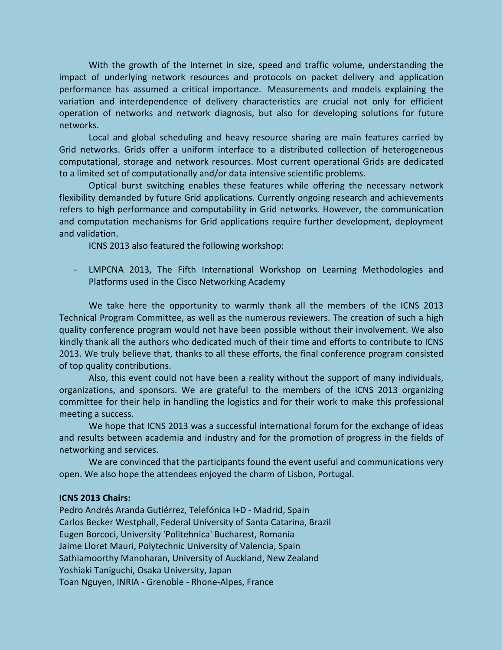With the growth of the Internet in size, speed and traffic volume, understanding the impact of underlying network resources and protocols on packet delivery and application performance has assumed a critical importance. Measurements and models explaining the variation and interdependence of delivery characteristics are crucial not only for efficient operation of networks and network diagnosis, but also for developing solutions for future networks.

Local and global scheduling and heavy resource sharing are main features carried by Grid networks. Grids offer a uniform interface to a distributed collection of heterogeneous computational, storage and network resources. Most current operational Grids are dedicated to a limited set of computationally and/or data intensive scientific problems.

Optical burst switching enables these features while offering the necessary network flexibility demanded by future Grid applications. Currently ongoing research and achievements refers to high performance and computability in Grid networks. However, the communication and computation mechanisms for Grid applications require further development, deployment and validation.

ICNS 2013 also featured the following workshop:

LMPCNA 2013, The Fifth International Workshop on Learning Methodologies and Platforms used in the Cisco Networking Academy

We take here the opportunity to warmly thank all the members of the ICNS 2013 Technical Program Committee, as well as the numerous reviewers. The creation of such a high quality conference program would not have been possible without their involvement. We also kindly thank all the authors who dedicated much of their time and efforts to contribute to ICNS 2013. We truly believe that, thanks to all these efforts, the final conference program consisted of top quality contributions.

Also, this event could not have been a reality without the support of many individuals, organizations, and sponsors. We are grateful to the members of the ICNS 2013 organizing committee for their help in handling the logistics and for their work to make this professional meeting a success.

We hope that ICNS 2013 was a successful international forum for the exchange of ideas and results between academia and industry and for the promotion of progress in the fields of networking and services.

We are convinced that the participants found the event useful and communications very open. We also hope the attendees enjoyed the charm of Lisbon, Portugal.

## **ICNS 2013 Chairs:**

Pedro Andrés Aranda Gutiérrez, Telefónica I+D - Madrid, Spain Carlos Becker Westphall, Federal University of Santa Catarina, Brazil Eugen Borcoci, University 'Politehnica' Bucharest, Romania Jaime Lloret Mauri, Polytechnic University of Valencia, Spain Sathiamoorthy Manoharan, University of Auckland, New Zealand Yoshiaki Taniguchi, Osaka University, Japan Toan Nguyen, INRIA - Grenoble - Rhone-Alpes, France